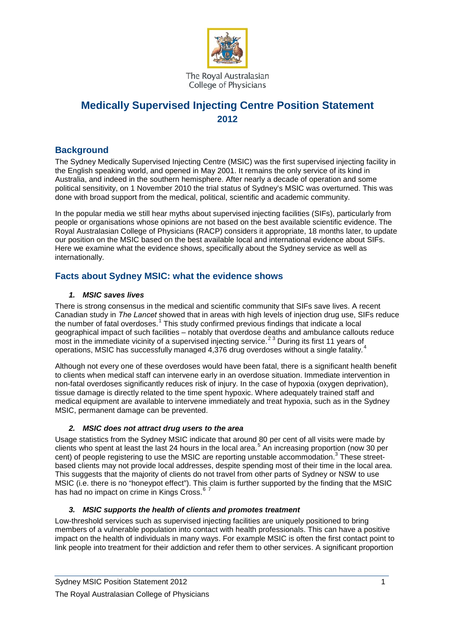

The Royal Australasian College of Physicians

# **Medically Supervised Injecting Centre Position Statement 2012**

### **Background**

The Sydney Medically Supervised Injecting Centre (MSIC) was the first supervised injecting facility in the English speaking world, and opened in May 2001. It remains the only service of its kind in Australia, and indeed in the southern hemisphere. After nearly a decade of operation and some political sensitivity, on 1 November 2010 the trial status of Sydney's MSIC was overturned. This was done with broad support from the medical, political, scientific and academic community.

In the popular media we still hear myths about supervised injecting facilities (SIFs), particularly from people or organisations whose opinions are not based on the best available scientific evidence. The Royal Australasian College of Physicians (RACP) considers it appropriate, 18 months later, to update our position on the MSIC based on the best available local and international evidence about SIFs. Here we examine what the evidence shows, specifically about the Sydney service as well as internationally.

# **Facts about Sydney MSIC: what the evidence shows**

### <span id="page-0-2"></span><span id="page-0-1"></span><span id="page-0-0"></span>*1. MSIC saves lives*

There is strong consensus in the medical and scientific community that SIFs save lives. A recent Canadian study in *The Lancet* showed that in areas with high levels of injection drug use, SIFs reduce the number of fatal overdoses.<sup>[1](#page-3-0)</sup> This study confirmed previous findings that indicate a local geographical impact of such facilities – notably that overdose deaths and ambulance callouts reduce most in the immediate vicinity of a supervised injecting service.<sup>[2](#page-3-1)[3](#page-3-2)</sup> During its first 11 years of operations, MSIC has successfully managed [4](#page-3-3),376 drug overdoses without a single fatality.<sup>4</sup>

Although not every one of these overdoses would have been fatal, there is a significant health benefit to clients when medical staff can intervene early in an overdose situation. Immediate intervention in non-fatal overdoses significantly reduces risk of injury. In the case of hypoxia (oxygen deprivation), tissue damage is directly related to the time spent hypoxic. Where adequately trained staff and medical equipment are available to intervene immediately and treat hypoxia, such as in the Sydney MSIC, permanent damage can be prevented.

### *2. MSIC does not attract drug users to the area*

Usage statistics from the Sydney MSIC indicate that around 80 per cent of all visits were made by clients who spent at least the last 24 hours in the local area.<sup>[5](#page-3-4)</sup> An increasing proportion (now 30 per cent) of people registering to use the MSIC are reporting unstable accommodation.<sup>[3](#page-0-0)</sup> These streetbased clients may not provide local addresses, despite spending most of their time in the local area. This suggests that the majority of clients do not travel from other parts of Sydney or NSW to use MSIC (i.e. there is no "honeypot effect"). This claim is further supported by the finding that the MSIC has had no impact on crime in Kings Cross.<sup>[6](#page-3-5)</sup>

### *3. MSIC supports the health of clients and promotes treatment*

Low-threshold services such as supervised injecting facilities are uniquely positioned to bring members of a vulnerable population into contact with health professionals. This can have a positive impact on the health of individuals in many ways. For example MSIC is often the first contact point to link people into treatment for their addiction and refer them to other services. A significant proportion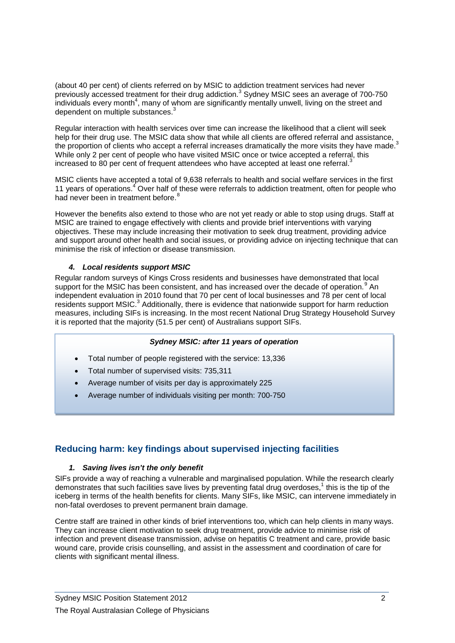(about 40 per cent) of clients referred on by MSIC to addiction treatment services had never previously accessed treatment for their drug addiction.<sup>[3](#page-0-0)</sup> Sydney MSIC sees an average of 700-750 individuals every mont[h](#page-0-1)<sup>4</sup>, many of whom are significantly mentally unwell, living on the street and dependent on multiple substances[.](#page-0-0)<sup>3</sup>

Regular interaction with health services over time can increase the likelihood that a client will seek help for their drug use. The MSIC data show that while all clients are offered referral and assistance, the proportion of clients who accept a referral increases dramatically the more visits they have made.<sup>[3](#page-0-0)</sup> While only 2 per cent of people who have visited MSIC once or twice accepted a referral, this increased to 80 per cent of frequent attendees who have accepted at least one referral[.](#page-0-0)<sup>3</sup>

MSIC clients have accepted a total of 9,638 referrals to health and social welfare services in the first 11 years of operations[.](#page-0-1)<sup>4</sup> Over half of these were referrals to addiction treatment, often for people who had never been in treatment before.<sup>[8](#page-3-7)</sup>

However the benefits also extend to those who are not yet ready or able to stop using drugs. Staff at MSIC are trained to engage effectively with clients and provide brief interventions with varying objectives. These may include increasing their motivation to seek drug treatment, providing advice and support around other health and social issues, or providing advice on injecting technique that can minimise the risk of infection or disease transmission.

### *4. Local residents support MSIC*

Regular random surveys of Kings Cross residents and businesses have demonstrated that local support for the MSIC has been consistent, and has increased over the decade of operation.<sup>[9](#page-3-8)</sup> An independent evaluation in 2010 found that 70 per cent of local businesses and 78 per cent of local residents support MSIC.<sup>[3](#page-0-0)</sup> Additionally, there is evidence that nationwide support for harm reduction measures, including SIFs is increasing. In the most recent National Drug Strategy Household Survey it is reported that the majority (51.5 per cent) of Australians support SIFs.

### *Sydney MSIC: after 11 years of operation*

- Total number of people registered with the service: 13,336
- Total number of supervised visits: 735,311
- Average number of visits per day is approximately 225
- Average number of individuals visiting per month: 700-750

# **Reducing harm: key findings about supervised injecting facilities**

#### *1. Saving lives isn't the only benefit*

SIFs provide a way of reaching a vulnerable and marginalised population. While the research clearly demonstrates that such facilities save lives by preventing fatal drug overdoses, $1$  this is the tip of the iceberg in terms of the health benefits for clients. Many SIFs, like MSIC, can intervene immediately in non-fatal overdoses to prevent permanent brain damage.

Centre staff are trained in other kinds of brief interventions too, which can help clients in many ways. They can increase client motivation to seek drug treatment, provide advice to minimise risk of infection and prevent disease transmission, advise on hepatitis C treatment and care, provide basic wound care, provide crisis counselling, and assist in the assessment and coordination of care for clients with significant mental illness.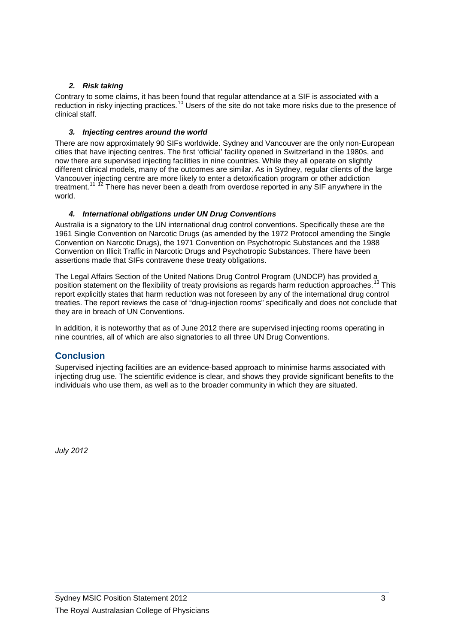### *2. Risk taking*

Contrary to some claims, it has been found that regular attendance at a SIF is associated with a reduction in risky injecting practices.<sup>[10](#page-3-9)</sup> Users of the site do not take more risks due to the presence of clinical staff.

### *3. Injecting centres around the world*

There are now approximately 90 SIFs worldwide. Sydney and Vancouver are the only non-European cities that have injecting centres. The first 'official' facility opened in Switzerland in the 1980s, and now there are supervised injecting facilities in nine countries. While they all operate on slightly different clinical models, many of the outcomes are similar. As in Sydney, regular clients of the large Vancouver injecting centre are more likely to enter a detoxification program or other addiction treatment.<sup>[11](#page-3-10) [12](#page-3-11)</sup> There has never been a death from overdose reported in any SIF anywhere in the world.

### *4. International obligations under UN Drug Conventions*

Australia is a signatory to the UN international drug control conventions. Specifically these are the 1961 Single Convention on Narcotic Drugs (as amended by the 1972 Protocol amending the Single Convention on Narcotic Drugs), the 1971 Convention on Psychotropic Substances and the 1988 Convention on Illicit Traffic in Narcotic Drugs and Psychotropic Substances. There have been assertions made that SIFs contravene these treaty obligations.

The Legal Affairs Section of the United Nations Drug Control Program (UNDCP) has provided a position statement on the flexibility of treaty provisions as regards harm reduction approaches.<sup>[13](#page-3-12)</sup> This report explicitly states that harm reduction was not foreseen by any of the international drug control treaties. The report reviews the case of "drug-injection rooms" specifically and does not conclude that they are in breach of UN Conventions.

In addition, it is noteworthy that as of June 2012 there are supervised injecting rooms operating in nine countries, all of which are also signatories to all three UN Drug Conventions.

# **Conclusion**

Supervised injecting facilities are an evidence-based approach to minimise harms associated with injecting drug use. The scientific evidence is clear, and shows they provide significant benefits to the individuals who use them, as well as to the broader community in which they are situated.

*July 2012*